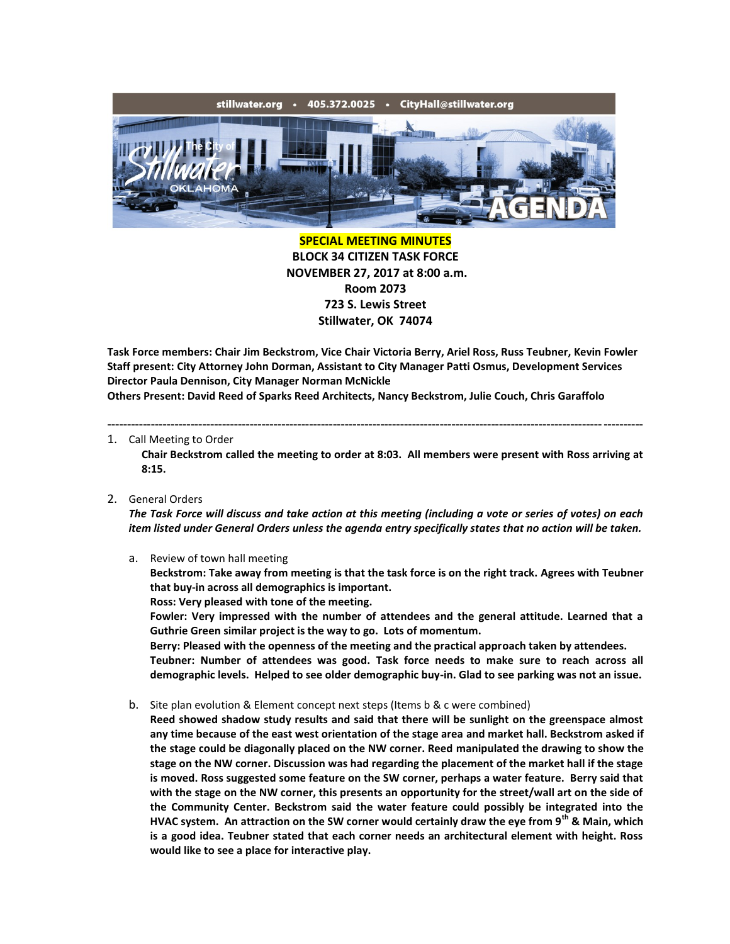

**SPECIAL MEETING MINUTES BLOCK 34 CITIZEN TASK FORCE NOVEMBER 27, 2017 at 8:00 a.m. Room 2073 723 S. Lewis Street Stillwater, OK 74074**

**Task Force members: Chair Jim Beckstrom, Vice Chair Victoria Berry, Ariel Ross, Russ Teubner, Kevin Fowler Staff present: City Attorney John Dorman, Assistant to City Manager Patti Osmus, Development Services Director Paula Dennison, City Manager Norman McNickle Others Present: David Reed of Sparks Reed Architects, Nancy Beckstrom, Julie Couch, Chris Garaffolo**

---------------------------------------------------------------------------------------------------------------------------------------

## 1. Call Meeting to Order

**Chair Beckstrom called the meeting to order at 8:03. All members were present with Ross arriving at 8:15.**

## 2. General Orders

*The Task Force will discuss and take action at this meeting (including a vote or series of votes) on each item listed under General Orders unless the agenda entry specifically states that no action will be taken.*

a. Review of town hall meeting

**Beckstrom: Take away from meeting is that the task force is on the right track. Agrees with Teubner that buy-in across all demographics is important.**

**Ross: Very pleased with tone of the meeting.**

**Fowler: Very impressed with the number of attendees and the general attitude. Learned that a Guthrie Green similar project is the way to go. Lots of momentum.**

**Berry: Pleased with the openness of the meeting and the practical approach taken by attendees. Teubner: Number of attendees was good. Task force needs to make sure to reach across all demographic levels. Helped to see older demographic buy-in. Glad to see parking was not an issue.**

b. Site plan evolution & Element concept next steps (Items b & c were combined)

**Reed showed shadow study results and said that there will be sunlight on the greenspace almost any time because of the east west orientation of the stage area and market hall. Beckstrom asked if the stage could be diagonally placed on the NW corner. Reed manipulated the drawing to show the stage on the NW corner. Discussion was had regarding the placement of the market hall if the stage is moved. Ross suggested some feature on the SW corner, perhaps a water feature. Berry said that with the stage on the NW corner, this presents an opportunity for the street/wall art on the side of the Community Center. Beckstrom said the water feature could possibly be integrated into the HVAC system. An attraction on the SW corner would certainly draw the eye from 9th & Main, which is a good idea. Teubner stated that each corner needs an architectural element with height. Ross would like to see a place for interactive play.**